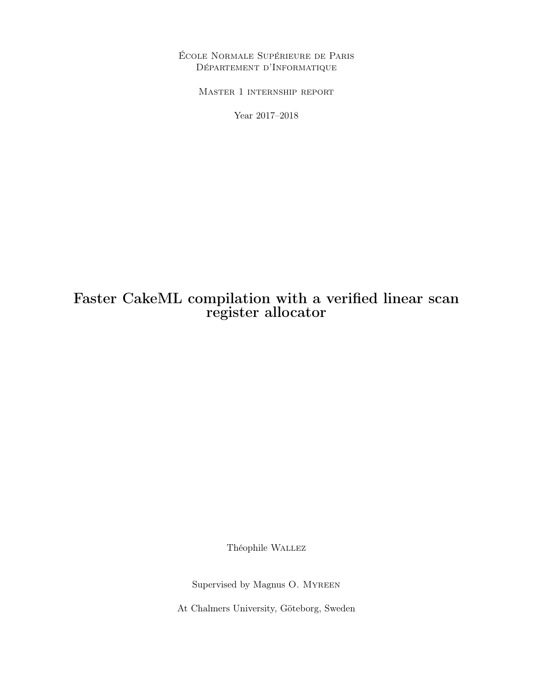École Normale Supérieure de Paris Département d'Informatique

Master 1 internship report

Year 2017–2018

# Faster CakeML compilation with a verified linear scan register allocator

Théophile Wallez

Supervised by Magnus O. Myreen

At Chalmers University, Göteborg, Sweden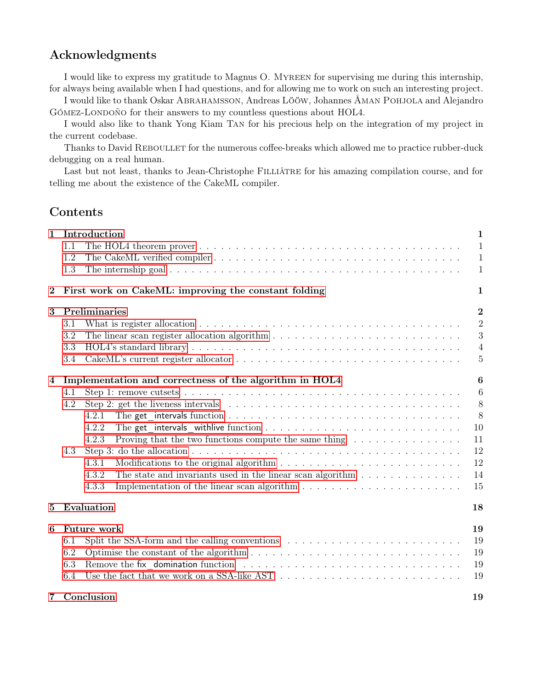## Acknowledgments

I would like to express my gratitude to Magnus O. Myreen for supervising me during this internship, for always being available when I had questions, and for allowing me to work on such an interesting project.

I would like to thank Oskar Abrahamsson, Andreas Lööw, Johannes Åman Pohjola and Alejandro GÓMEZ-LONDOÑO for their answers to my countless questions about HOL4.

I would also like to thank Yong Kiam Tan for his precious help on the integration of my project in the current codebase.

Thanks to David REBOULLET for the numerous coffee-breaks which allowed me to practice rubber-duck debugging on a real human.

Last but not least, thanks to Jean-Christophe FILLIÂTRE for his amazing compilation course, and for telling me about the existence of the CakeML compiler.

## Contents

| $\mathbf{1}$   | Introduction<br>1.1<br>1.2<br>1.3                                                                                                                                                                                                                                                                                                                                                                                                                     | $\mathbf{1}$<br>$\mathbf{1}$<br>$\mathbf{1}$<br>$\mathbf{1}$                      |
|----------------|-------------------------------------------------------------------------------------------------------------------------------------------------------------------------------------------------------------------------------------------------------------------------------------------------------------------------------------------------------------------------------------------------------------------------------------------------------|-----------------------------------------------------------------------------------|
| $\bf{2}$       | First work on CakeML: improving the constant folding                                                                                                                                                                                                                                                                                                                                                                                                  | 1                                                                                 |
| 3              | Preliminaries<br>What is register allocation $\dots \dots \dots \dots \dots \dots \dots \dots \dots \dots \dots \dots \dots \dots \dots \dots$<br>3.1<br>3.2<br>3.3<br>3.4                                                                                                                                                                                                                                                                            | $\overline{2}$<br>$\overline{2}$<br>3<br>$\overline{4}$<br>$\overline{5}$         |
| $\overline{4}$ | Implementation and correctness of the algorithm in HOL4<br>4.1<br>4.2<br>Step 2: get the liveness intervals $\ldots \ldots \ldots \ldots \ldots \ldots \ldots \ldots \ldots \ldots \ldots \ldots$<br>4.2.1<br>4.2.2<br>Proving that the two functions compute the same thing $\dots \dots \dots \dots \dots$<br>4.2.3<br>4.3<br>4.3.1<br>The state and invariants used in the linear scan algorithm $\dots \dots \dots \dots \dots$<br>4.3.2<br>4.3.3 | $\boldsymbol{6}$<br>$6\phantom{.}6$<br>8<br>8<br>10<br>11<br>12<br>12<br>14<br>15 |
| 5              | Evaluation                                                                                                                                                                                                                                                                                                                                                                                                                                            | 18                                                                                |
| 6              | Future work<br>Split the SSA-form and the calling conventions $\dots \dots \dots \dots \dots \dots \dots \dots \dots \dots$<br>6.1<br>6.2<br>6.3<br>Use the fact that we work on a SSA-like AST $\dots \dots \dots \dots \dots \dots \dots \dots \dots \dots \dots$<br>6.4                                                                                                                                                                            | 19<br>19<br>19<br>19<br>19                                                        |
| $7\degree$     | Conclusion                                                                                                                                                                                                                                                                                                                                                                                                                                            | 19                                                                                |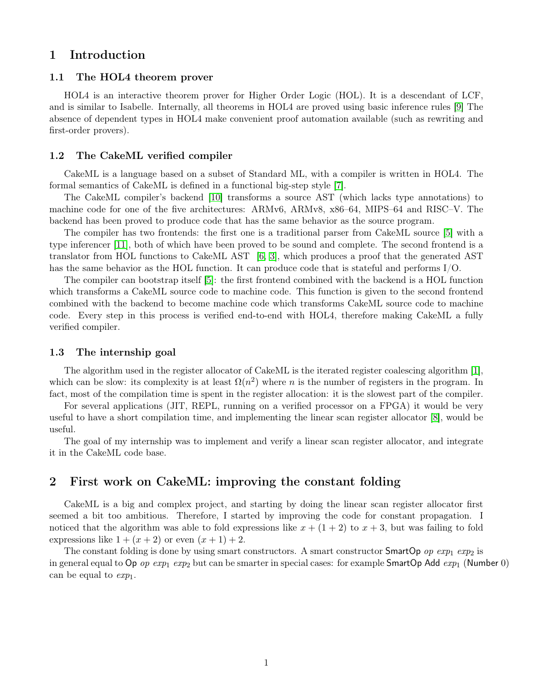### <span id="page-2-0"></span>1 Introduction

#### <span id="page-2-1"></span>1.1 The HOL4 theorem prover

HOL4 is an interactive theorem prover for Higher Order Logic (HOL). It is a descendant of LCF, and is similar to Isabelle. Internally, all theorems in HOL4 are proved using basic inference rules [\[9\]](#page-21-0) The absence of dependent types in HOL4 make convenient proof automation available (such as rewriting and first-order provers).

#### <span id="page-2-2"></span>1.2 The CakeML verified compiler

CakeML is a language based on a subset of Standard ML, with a compiler is written in HOL4. The formal semantics of CakeML is defined in a functional big-step style [\[7\]](#page-21-1).

The CakeML compiler's backend [\[10\]](#page-21-2) transforms a source AST (which lacks type annotations) to machine code for one of the five architectures: ARMv6, ARMv8, x86–64, MIPS–64 and RISC–V. The backend has been proved to produce code that has the same behavior as the source program.

The compiler has two frontends: the first one is a traditional parser from CakeML source [\[5\]](#page-21-3) with a type inferencer [\[11\]](#page-21-4), both of which have been proved to be sound and complete. The second frontend is a translator from HOL functions to CakeML AST [\[6,](#page-21-5) [3\]](#page-21-6), which produces a proof that the generated AST has the same behavior as the HOL function. It can produce code that is stateful and performs I/O.

The compiler can bootstrap itself [\[5\]](#page-21-3): the first frontend combined with the backend is a HOL function which transforms a CakeML source code to machine code. This function is given to the second frontend combined with the backend to become machine code which transforms CakeML source code to machine code. Every step in this process is verified end-to-end with HOL4, therefore making CakeML a fully verified compiler.

#### <span id="page-2-3"></span>1.3 The internship goal

The algorithm used in the register allocator of CakeML is the iterated register coalescing algorithm [\[1\]](#page-21-7), which can be slow: its complexity is at least  $\Omega(n^2)$  where n is the number of registers in the program. In fact, most of the compilation time is spent in the register allocation: it is the slowest part of the compiler.

For several applications (JIT, REPL, running on a verified processor on a FPGA) it would be very useful to have a short compilation time, and implementing the linear scan register allocator [\[8\]](#page-21-8), would be useful.

The goal of my internship was to implement and verify a linear scan register allocator, and integrate it in the CakeML code base.

### <span id="page-2-4"></span>2 First work on CakeML: improving the constant folding

CakeML is a big and complex project, and starting by doing the linear scan register allocator first seemed a bit too ambitious. Therefore, I started by improving the code for constant propagation. I noticed that the algorithm was able to fold expressions like  $x + (1 + 2)$  to  $x + 3$ , but was failing to fold expressions like  $1 + (x + 2)$  or even  $(x + 1) + 2$ .

The constant folding is done by using smart constructors. A smart constructor **SmartOp** op  $exp_1 exp_2$  is in general equal to Op op  $exp_1 exp_2$  but can be smarter in special cases: for example SmartOp Add  $exp_1$  (Number 0) can be equal to  $exp_1$ .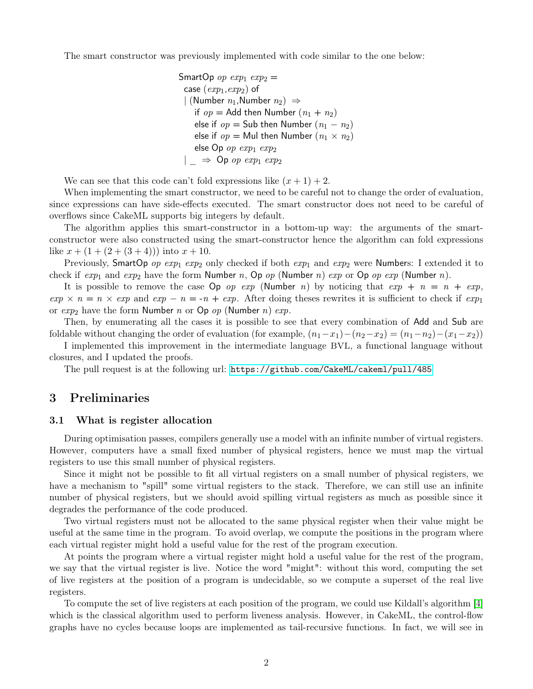The smart constructor was previously implemented with code similar to the one below:

SmartOp op  $exp_1 exp_2 =$ case  $(exp_1, exp_2)$  of | (Number  $n_1$ , Number  $n_2$ )  $\Rightarrow$ if  $op =$  Add then Number  $(n_1 + n_2)$ else if  $op =$  Sub then Number  $(n_1 - n_2)$ else if  $op =$  Mul then Number  $(n_1 \times n_2)$ else Op op  $exp_1 exp_2$  $|\Rightarrow$  Op op  $exp_1 exp_2$ 

We can see that this code can't fold expressions like  $(x + 1) + 2$ .

When implementing the smart constructor, we need to be careful not to change the order of evaluation, since expressions can have side-effects executed. The smart constructor does not need to be careful of overflows since CakeML supports big integers by default.

The algorithm applies this smart-constructor in a bottom-up way: the arguments of the smartconstructor were also constructed using the smart-constructor hence the algorithm can fold expressions like  $x + (1 + (2 + (3 + 4)))$  into  $x + 10$ .

Previously, SmartOp op  $exp_1 exp_2$  only checked if both  $exp_1$  and  $exp_2$  were Numbers: I extended it to check if  $exp_1$  and  $exp_2$  have the form Number n, Op op (Number n) exp or Op op  $exp$  (Number n).

It is possible to remove the case  $\mathsf{Op}$  op exp (Number n) by noticing that  $exp + n = n + exp$ ,  $exp \times n = n \times exp$  and  $exp - n = -n + exp$ . After doing theses rewrites it is sufficient to check if  $exp_1$ or  $exp_2$  have the form Number n or Op op (Number n)  $exp$ .

Then, by enumerating all the cases it is possible to see that every combination of Add and Sub are foldable without changing the order of evaluation (for example,  $(n_1-x_1)-(n_2-x_2)=(n_1-n_2)-(x_1-x_2)$ )

I implemented this improvement in the intermediate language BVL, a functional language without closures, and I updated the proofs.

The pull request is at the following url: <https://github.com/CakeML/cakeml/pull/485>

### <span id="page-3-0"></span>3 Preliminaries

#### <span id="page-3-1"></span>3.1 What is register allocation

During optimisation passes, compilers generally use a model with an infinite number of virtual registers. However, computers have a small fixed number of physical registers, hence we must map the virtual registers to use this small number of physical registers.

Since it might not be possible to fit all virtual registers on a small number of physical registers, we have a mechanism to "spill" some virtual registers to the stack. Therefore, we can still use an infinite number of physical registers, but we should avoid spilling virtual registers as much as possible since it degrades the performance of the code produced.

Two virtual registers must not be allocated to the same physical register when their value might be useful at the same time in the program. To avoid overlap, we compute the positions in the program where each virtual register might hold a useful value for the rest of the program execution.

At points the program where a virtual register might hold a useful value for the rest of the program, we say that the virtual register is live. Notice the word "might": without this word, computing the set of live registers at the position of a program is undecidable, so we compute a superset of the real live registers.

To compute the set of live registers at each position of the program, we could use Kildall's algorithm [\[4\]](#page-21-9) which is the classical algorithm used to perform liveness analysis. However, in CakeML, the control-flow graphs have no cycles because loops are implemented as tail-recursive functions. In fact, we will see in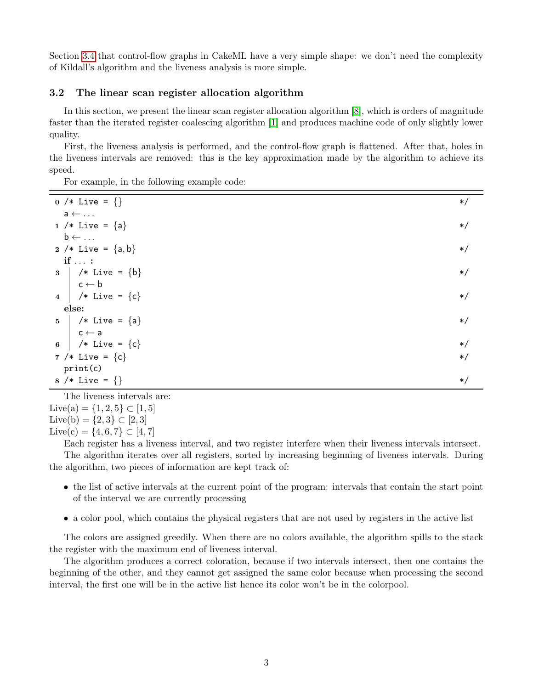Section [3.4](#page-6-0) that control-flow graphs in CakeML have a very simple shape: we don't need the complexity of Kildall's algorithm and the liveness analysis is more simple.

#### <span id="page-4-0"></span>3.2 The linear scan register allocation algorithm

In this section, we present the linear scan register allocation algorithm [\[8\]](#page-21-8), which is orders of magnitude faster than the iterated register coalescing algorithm [\[1\]](#page-21-7) and produces machine code of only slightly lower quality.

First, the liveness analysis is performed, and the control-flow graph is flattened. After that, holes in the liveness intervals are removed: this is the key approximation made by the algorithm to achieve its speed.

For example, in the following example code:

| 0 /* Live = $\{\}$               | $\ast/$ |
|----------------------------------|---------|
| $a \leftarrow \ldots$            |         |
| 1 /* Live = ${a}$                | $\ast/$ |
| $\mathsf{b} \leftarrow \ldots$   |         |
| 2 /* Live = ${a,b}$              | $\ast/$ |
| $if \ldots$ :                    |         |
| $3 \mid$ /* Live = {b}           | $\ast/$ |
| $\mathsf{c}\leftarrow\mathsf{b}$ |         |
| 4   /* Live = ${c}$              | $\ast/$ |
| else:                            |         |
| 5   /* Live = ${a}$              | $\ast/$ |
| $\mathsf{c}\leftarrow\mathsf{a}$ |         |
| 6   /* Live = ${c}$              | $\ast/$ |
| 7 /* Live = ${c}$                | $\ast/$ |
| print(c)                         |         |
| 8 /* Live = $\{\}$               | $\ast/$ |

The liveness intervals are: Live(a) =  $\{1, 2, 5\} \subset [1, 5]$ Live(b) =  ${2,3}$  ⊂ [2, 3] Live(c) = {4, 6, 7} ⊂ [4, 7]

Each register has a liveness interval, and two register interfere when their liveness intervals intersect. The algorithm iterates over all registers, sorted by increasing beginning of liveness intervals. During the algorithm, two pieces of information are kept track of:

- the list of active intervals at the current point of the program: intervals that contain the start point of the interval we are currently processing
- a color pool, which contains the physical registers that are not used by registers in the active list

The colors are assigned greedily. When there are no colors available, the algorithm spills to the stack the register with the maximum end of liveness interval.

The algorithm produces a correct coloration, because if two intervals intersect, then one contains the beginning of the other, and they cannot get assigned the same color because when processing the second interval, the first one will be in the active list hence its color won't be in the colorpool.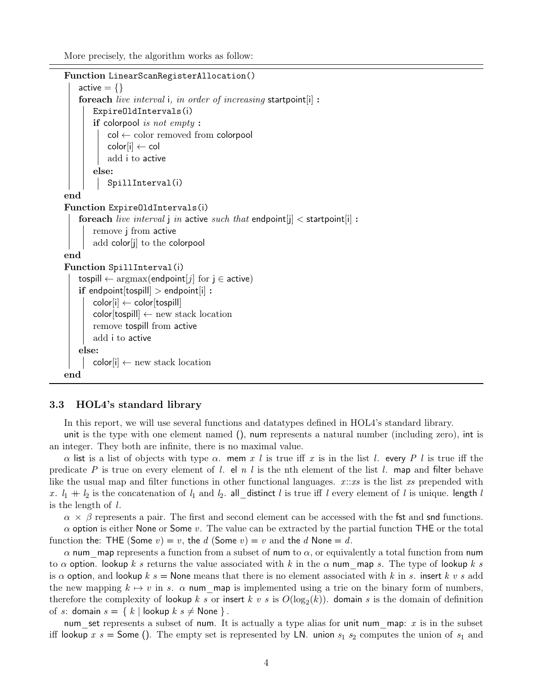More precisely, the algorithm works as follow:

```
Function LinearScanRegisterAllocation()
   active = \{\}foreach live interval i, in order of increasing startpoint[i] :
       ExpireOldIntervals(i)
       if colorpool is not empty :
           col ← color removed from colorpool
           \text{color}[i] \leftarrow \text{col}add i to active
       else:
           SpillInterval(i)
end
Function ExpireOldIntervals(i)
    foreach live interval j in active such that endpoint [j] < startpoint [i]:
       remove j from active
       add color[j] to the colorpool
end
Function SpillInterval(i)
    tospill \leftarrow argmax(endpoint[j] for j \in active)
    if endpoint [tospill] > endpoint[i]:
       color[i] \leftarrow color[tospill]color[tospill] \leftarrow new stack locationremove tospill from active
       add i to active
    else:
       color[i] \leftarrow new stack locationend
```
#### <span id="page-5-0"></span>3.3 HOL4's standard library

In this report, we will use several functions and datatypes defined in HOL4's standard library.

unit is the type with one element named (), num represents a natural number (including zero), int is an integer. They both are infinite, there is no maximal value.

 $\alpha$  list is a list of objects with type  $\alpha$ . mem x l is true iff x is in the list l. every P l is true iff the predicate P is true on every element of l. el n l is the nth element of the list l. map and filter behave like the usual map and filter functions in other functional languages.  $x::xs$  is the list xs prepended with x.  $l_1 + l_2$  is the concatenation of  $l_1$  and  $l_2$ . all distinct l is true iff l every element of l is unique. length l is the length of l.

 $\alpha \times \beta$  represents a pair. The first and second element can be accessed with the fst and snd functions.  $\alpha$  option is either None or Some v. The value can be extracted by the partial function THE or the total function the: THE (Some  $v$ ) = v, the d (Some  $v$ ) = v and the d None = d.

 $\alpha$  num—map represents a function from a subset of num to  $\alpha$ , or equivalently a total function from num to  $\alpha$  option. lookup k s returns the value associated with k in the  $\alpha$  num map s. The type of lookup k s is  $\alpha$  option, and lookup k s = None means that there is no element associated with k in s. insert k v s add the new mapping  $k \mapsto v$  in s.  $\alpha$  num map is implemented using a trie on the binary form of numbers, therefore the complexity of lookup  $k$  s or insert  $k$  v s is  $O(\log_2(k))$ . domain s is the domain of definition of s: domain  $s = \{ k \mid \text{lookup } k \ s \neq \text{None } \}$ .

num set represents a subset of num. It is actually a type alias for unit num\_map:  $x$  is in the subset iff lookup x  $s =$  Some (). The empty set is represented by LN. union  $s_1$   $s_2$  computes the union of  $s_1$  and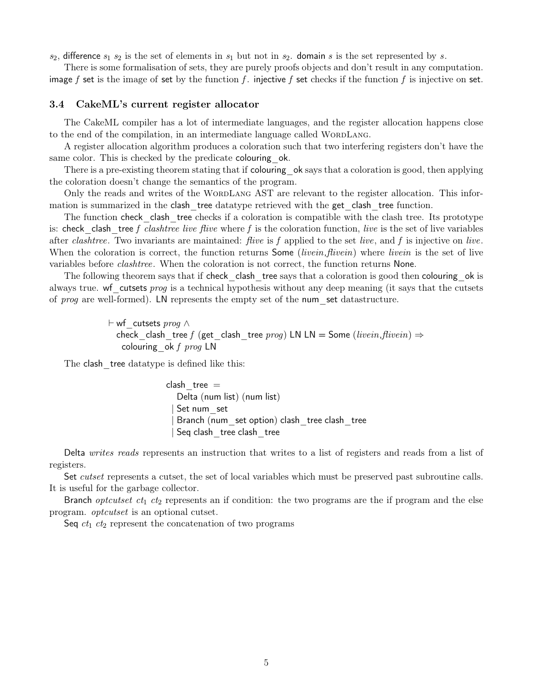$s_2$ , difference  $s_1$   $s_2$  is the set of elements in  $s_1$  but not in  $s_2$ . domain s is the set represented by s.

There is some formalisation of sets, they are purely proofs objects and don't result in any computation. image f set is the image of set by the function f. injective f set checks if the function f is injective on set.

#### <span id="page-6-0"></span>3.4 CakeML's current register allocator

The CakeML compiler has a lot of intermediate languages, and the register allocation happens close to the end of the compilation, in an intermediate language called WORDLANG.

A register allocation algorithm produces a coloration such that two interfering registers don't have the same color. This is checked by the predicate colouring ok.

There is a pre-existing theorem stating that if colouring ok says that a coloration is good, then applying the coloration doesn't change the semantics of the program.

Only the reads and writes of the WORDLANG AST are relevant to the register allocation. This information is summarized in the clash tree datatype retrieved with the get clash tree function.

The function check clash tree checks if a coloration is compatible with the clash tree. Its prototype is: check clash tree f clashtree live flive where f is the coloration function, live is the set of live variables after clashtree. Two invariants are maintained: *flive* is f applied to the set *live*, and f is injective on *live*. When the coloration is correct, the function returns Some *(livein, flivein)* where *livein* is the set of live variables before clashtree. When the coloration is not correct, the function returns None.

The following theorem says that if check clash tree says that a coloration is good then colouring ok is always true. wf cutsets prog is a technical hypothesis without any deep meaning (it says that the cutsets of *prog* are well-formed). LN represents the empty set of the num set datastructure.

> $\vdash$  wf cutsets prog ∧ check clash tree f (get clash tree prog) LN LN = Some (livein, flivein)  $\Rightarrow$ colouring ok f  $prog$  LN

The clash tree datatype is defined like this:

clash  $tree =$ Delta (num list) (num list) Set num set Branch (num\_set option) clash\_tree clash\_tree Seq clash tree clash tree

Delta writes reads represents an instruction that writes to a list of registers and reads from a list of registers.

Set *cutset* represents a cutset, the set of local variables which must be preserved past subroutine calls. It is useful for the garbage collector.

Branch *optcutset*  $ct_1$   $ct_2$  represents an if condition: the two programs are the if program and the else program. optcutset is an optional cutset.

Seq  $ct_1$   $ct_2$  represent the concatenation of two programs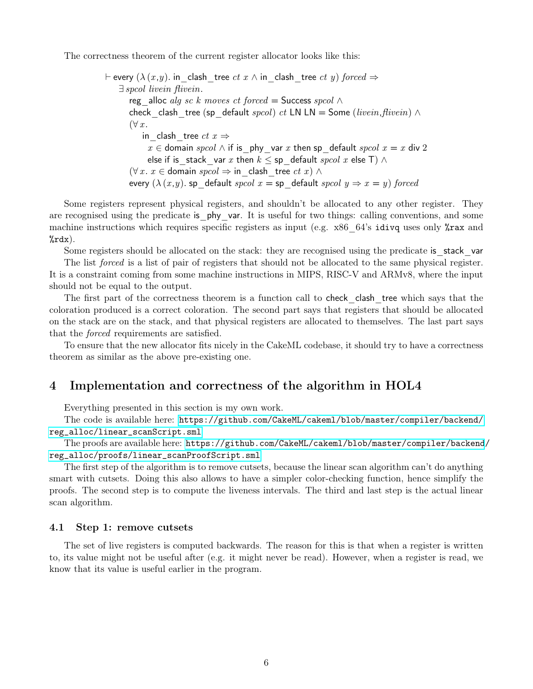The correctness theorem of the current register allocator looks like this:

 $\vdash$  every  $(\lambda (x, y))$ . in clash tree ct  $x \wedge$  in clash tree ct y) forced  $\Rightarrow$ ∃ spcol livein flivein. reg\_alloc alg sc k moves ct forced = Success spcol  $\wedge$ check clash tree (sp default spcol) ct LN LN = Some (livein, flivein)  $\land$  $(\forall x)$ . in clash tree  $ct$   $x \Rightarrow$  $x \in$  domain spcol  $\wedge$  if is phy var x then sp\_default spcol  $x = x$  div 2 else if is stack var x then  $k \le$  sp\_default  $spcol$  x else T)  $\wedge$  $(\forall x. x \in$  domain spcol  $\Rightarrow$  in clash tree ct x)  $\land$ every  $(\lambda(x, y)$ . sp\_default spcol  $x =$  sp\_default spcol  $y \Rightarrow x = y$ ) forced

Some registers represent physical registers, and shouldn't be allocated to any other register. They are recognised using the predicate is phy var. It is useful for two things: calling conventions, and some machine instructions which requires specific registers as input (e.g.  $x86-64$ 's idivq uses only  $xax$  and  $% \text{rdx}$ ).

Some registers should be allocated on the stack: they are recognised using the predicate is stack var

The list *forced* is a list of pair of registers that should not be allocated to the same physical register. It is a constraint coming from some machine instructions in MIPS, RISC-V and ARMv8, where the input should not be equal to the output.

The first part of the correctness theorem is a function call to check clash tree which says that the coloration produced is a correct coloration. The second part says that registers that should be allocated on the stack are on the stack, and that physical registers are allocated to themselves. The last part says that the forced requirements are satisfied.

To ensure that the new allocator fits nicely in the CakeML codebase, it should try to have a correctness theorem as similar as the above pre-existing one.

### <span id="page-7-0"></span>4 Implementation and correctness of the algorithm in HOL4

Everything presented in this section is my own work.

The code is available here: [https://github.com/CakeML/cakeml/blob/master/compiler/backend/](https://github.com/CakeML/cakeml/blob/master/compiler/backend/reg_alloc/linear_scanScript.sml) [reg\\_alloc/linear\\_scanScript.sml](https://github.com/CakeML/cakeml/blob/master/compiler/backend/reg_alloc/linear_scanScript.sml)

The proofs are available here: [https://github.com/CakeML/cakeml/blob/master/compiler/backend](https://github.com/CakeML/cakeml/blob/master/compiler/backend/reg_alloc/proofs/linear_scanProofScript.sml)/ [reg\\_alloc/proofs/linear\\_scanProofScript.sml](https://github.com/CakeML/cakeml/blob/master/compiler/backend/reg_alloc/proofs/linear_scanProofScript.sml)

The first step of the algorithm is to remove cutsets, because the linear scan algorithm can't do anything smart with cutsets. Doing this also allows to have a simpler color-checking function, hence simplify the proofs. The second step is to compute the liveness intervals. The third and last step is the actual linear scan algorithm.

#### <span id="page-7-1"></span>4.1 Step 1: remove cutsets

The set of live registers is computed backwards. The reason for this is that when a register is written to, its value might not be useful after (e.g. it might never be read). However, when a register is read, we know that its value is useful earlier in the program.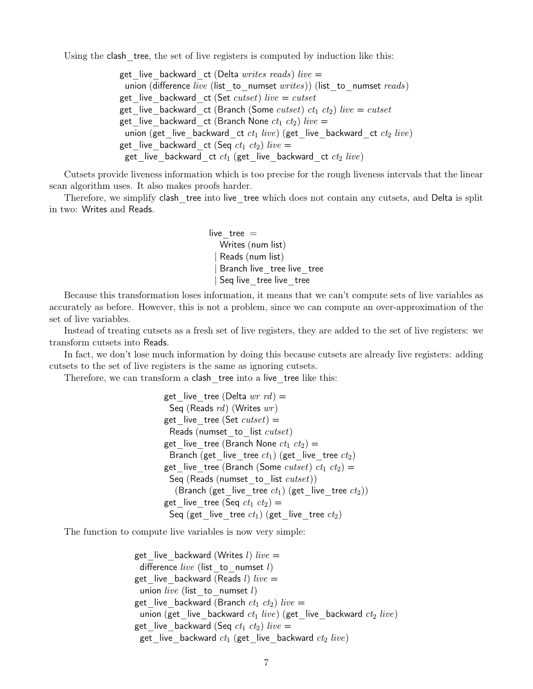Using the clash tree, the set of live registers is computed by induction like this:

get live backward ct (Delta writes reads) live  $=$ union (difference live (list to numset writes)) (list to numset reads) get live backward ct (Set cutset) live = cutset get\_live\_backward\_ct (Branch (Some cutset)  $ct_1 ct_2$ ) live = cutset get live backward ct (Branch None  $ct_1 ct_2$ ) live  $=$ union (get\_live\_backward\_ct  $ct_1$  live) (get\_live\_backward\_ct  $ct_2$  live) get live backward ct (Seq  $ct_1 ct_2$ ) live = get\_live\_backward\_ct  $ct_1$  (get\_live\_backward\_ct  $ct_2$  live)

Cutsets provide liveness information which is too precise for the rough liveness intervals that the linear scan algorithm uses. It also makes proofs harder.

Therefore, we simplify clash tree into live tree which does not contain any cutsets, and Delta is split in two: Writes and Reads.

> live  $tree =$ Writes (num list) Reads (num list) Branch live tree live tree Seq live tree live tree

Because this transformation loses information, it means that we can't compute sets of live variables as accurately as before. However, this is not a problem, since we can compute an over-approximation of the set of live variables.

Instead of treating cutsets as a fresh set of live registers, they are added to the set of live registers: we transform cutsets into Reads.

In fact, we don't lose much information by doing this because cutsets are already live registers: adding cutsets to the set of live registers is the same as ignoring cutsets.

Therefore, we can transform a clash tree into a live tree like this:

get live tree (Delta  $wr$   $rd$ ) = Seq (Reads  $rd$ ) (Writes  $wr$ ) get live tree (Set cutset)  $=$ Reads (numset to list cutset) get live tree (Branch None  $ct_1 ct_2$ ) = Branch (get live \_tree  $ct_1$ ) (get \_live \_tree  $ct_2$ ) get live tree (Branch (Some  $cutset)$   $ct_1$   $ct_2$ ) = Seq (Reads (numset to list  $cutset)$ ) (Branch (get\_live\_tree  $ct_1$ ) (get\_live\_tree  $ct_2$ )) get live tree (Seq  $ct_1 ct_2$ ) = Seq (get live tree  $ct_1$ ) (get live tree  $ct_2$ )

The function to compute live variables is now very simple:

get live backward (Writes l) live  $=$ difference live (list to numset l) get\_live\_backward (Reads  $l$ )  $live =$ union live (list to numset l) get live backward (Branch  $ct_1 ct_2$ ) live = union (get live backward  $ct_1$  live) (get live backward  $ct_2$  live) get\_live\_backward (Seq  $ct_1 ct_2$ ) live = get live backward  $ct_1$  (get live backward  $ct_2$  live)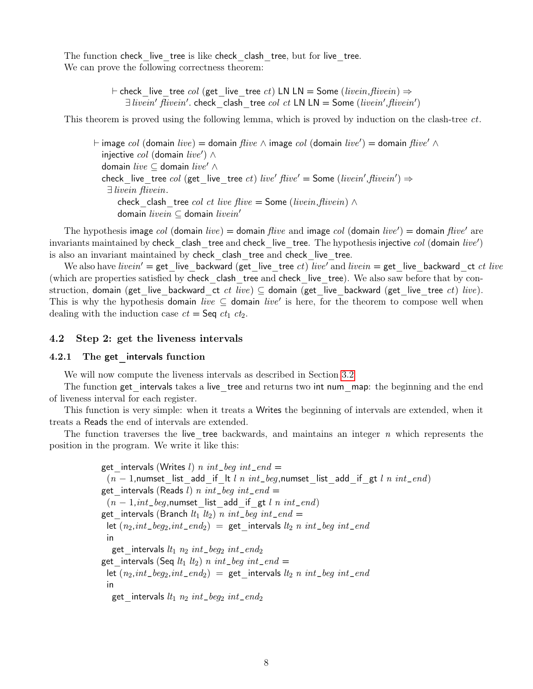The function check live tree is like check clash tree, but for live tree. We can prove the following correctness theorem:

> $\vdash$  check live tree col (get live tree ct) LN LN = Some (livein, flivein)  $\Rightarrow$  $\exists\text{ \textit{live}}\textit{in}'\textit{ \textit{five}}\textit{in}'.$  check clash tree col ct LN LN = Some (livein', flivein')

This theorem is proved using the following lemma, which is proved by induction on the clash-tree ct.

 $\vdash$  image  $col$  (domain  $live)$  = domain  $five$  ∧ image  $col$  (domain  $live'$  ) = domain  $five'$  ∧ injective  $col$  (domain  $live'$ )  $\wedge$ domain live  $\subseteq$  domain live'  $\wedge$ check live tree col (get live tree ct) live'  $five' =$  Some (livein', flivein')  $\Rightarrow$ ∃ livein flivein. check clash tree col ct live flive = Some (livein, flivein)  $\wedge$ domain livein  $\subseteq$  domain livein'

The hypothesis image col (domain live) = domain flive and image col (domain live') = domain flive' are invariants maintained by check\_clash\_tree and check\_live\_tree. The hypothesis injective  $col$  (domain  $live'$ ) is also an invariant maintained by check clash tree and check live tree.

We also have livein' = get live backward (get live tree ct) live' and livein = get live backward ct ct live (which are properties satisfied by check\_clash\_tree and check\_live\_tree). We also saw before that by construction, domain (get live backward ct ct live) ⊆ domain (get live backward (get live tree ct) live). This is why the hypothesis domain live  $\subseteq$  domain live' is here, for the theorem to compose well when dealing with the induction case  $ct = \mathsf{Seq } ct_1 ct_2$ .

#### <span id="page-9-0"></span>4.2 Step 2: get the liveness intervals

#### <span id="page-9-1"></span>4.2.1 The get intervals function

We will now compute the liveness intervals as described in Section [3.2](#page-4-0)

The function get intervals takes a live tree and returns two int num map: the beginning and the end of liveness interval for each register.

This function is very simple: when it treats a Writes the beginning of intervals are extended, when it treats a Reads the end of intervals are extended.

The function traverses the live tree backwards, and maintains an integer  $n$  which represents the position in the program. We write it like this:

```
get intervals (Writes l) n int_beg int_end =
 (n - 1), numset list add if lt l n int_beg, numset list add if gt l n int_end)
get intervals (Reads l) n int_beg int_end =
 (n - 1, int\_beg, numset list add if gt l n int_end)
get intervals (Branch lt_1 lt_2) n int\_beg int\_end =let (n_2, int\_beg_2, int\_end_2) = get_intervals lt_2 n int_beg int_end
 in
  get_intervals lt_1 n_2 int\_beg_2 int\_end_2get intervals (Seq lt_1 lt_2) n int_beg int_end =
 let (n_2, int\_beg_2, int\_end_2) = get intervals lt_2 n int_beg int_end
 in
  get intervals lt_1 n_2 int\_beg_2 int\_end_2
```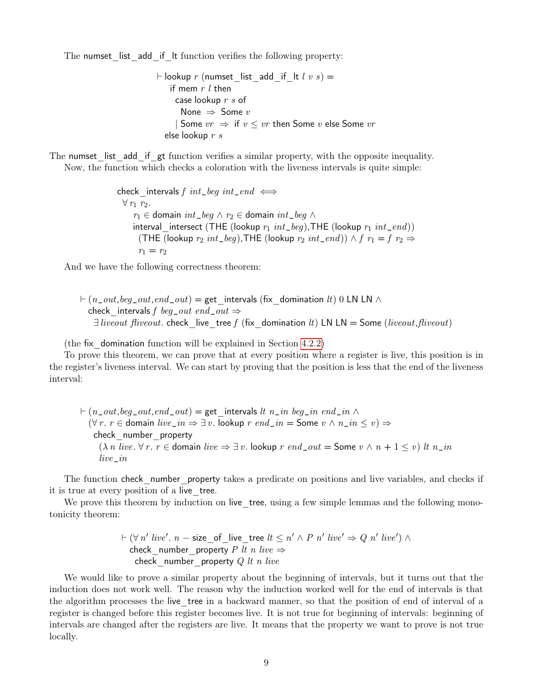The numset list add if It function verifies the following property:

$$
\vdash \text{lookup } r \text{ (numset\_list\_add\_if\_lt } l \text{ } v \text{ } s) =
$$
\n
$$
\text{if } \text{mem } r \text{ } l \text{ then}
$$
\n
$$
\text{case } \text{lookup } r \text{ } s \text{ of}
$$
\n
$$
\text{None } \Rightarrow \text{ Some } v
$$
\n
$$
\mid \text{Some } vr \Rightarrow \text{ if } v \leq vr \text{ then } \text{Some } v \text{ else } \text{Some } vr
$$
\n
$$
\text{else } \text{lookup } r \text{ } s
$$

The numset list add if gt function verifies a similar property, with the opposite inequality. Now, the function which checks a coloration with the liveness intervals is quite simple:

> check intervals f int\_beg int\_end  $\iff$  $\forall r_1 r_2.$  $r_1$  ∈ domain int\_beg  $\land$   $r_2$  ∈ domain int\_beg  $\land$ interval intersect (THE (lookup  $r_1$  int\_beg),THE (lookup  $r_1$  int\_end)) (THE (lookup  $r_2$  int\_beg),THE (lookup  $r_2$  int\_end))  $\wedge$  f  $r_1 = f$   $r_2 \Rightarrow$  $r_1 = r_2$

And we have the following correctness theorem:

 $\vdash$  (n\_out, beg\_out, end\_out) = get intervals (fix domination lt) 0 LN LN  $\land$ check intervals f beg\_out end\_out  $\Rightarrow$  $\exists\text{ liveout}\text{ fiveout.}$  check live tree f (fix domination lt) LN LN = Some (liveout, fliveout)

(the fix domination function will be explained in Section  $4.2.2$ )

To prove this theorem, we can prove that at every position where a register is live, this position is in the register's liveness interval. We can start by proving that the position is less that the end of the liveness interval:

 $\vdash (n\_out,beg\_out,end\_out) =$  get intervals lt n\_in beg\_in end\_in  $\land$  $(\forall r. r \in \text{domain live\_in} \Rightarrow \exists v. \text{ lookup } r \text{ end\_in} = \text{Some } v \land n\_in \leq v) \Rightarrow$ check\_number\_property  $(\lambda n \text{ live. } \forall r. r \in \text{domain live} \Rightarrow \exists v. \text{ lookup } r \text{ end\_out} = \text{Some } v \wedge n + 1 \leq v) \text{ lt } n\_in$ live\_in

The function check number property takes a predicate on positions and live variables, and checks if it is true at every position of a live\_tree.

We prove this theorem by induction on live tree, using a few simple lemmas and the following monotonicity theorem:

$$
\vdash (\forall n' \text{ live}'. n - \text{size_of\_live\_tree } lt \leq n' \land P n' \text{ live'} \Rightarrow Q n' \text{ live'}) \land
$$
 check\_number\\_property P *lt n live*  $\Rightarrow$  check number property Q *lt n live*

We would like to prove a similar property about the beginning of intervals, but it turns out that the induction does not work well. The reason why the induction worked well for the end of intervals is that the algorithm processes the live\_tree in a backward manner, so that the position of end of interval of a register is changed before this register becomes live. It is not true for beginning of intervals: beginning of intervals are changed after the registers are live. It means that the property we want to prove is not true locally.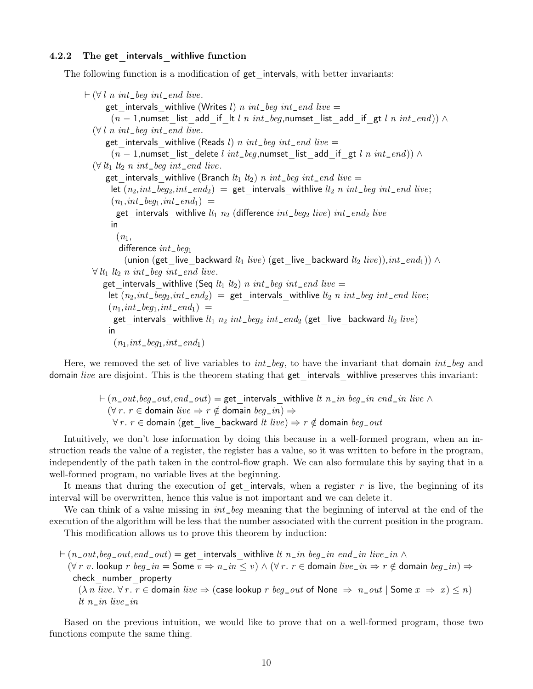#### <span id="page-11-0"></span>4.2.2 The get intervals withlive function

The following function is a modification of get intervals, with better invariants:

```
\vdash (\forall l \; n \; int\_beg \; int\_end \; live.get intervals withlive (Writes l) n int_beq int_end live =
       (n - 1), numset list add if lt l n int_beg, numset list add if gt l n int_end)) \wedge(\forall l \; n \; int\_beg \; int\_end \; live.)get intervals withlive (Reads l) n int_beg int_end live =
        (n - 1), numset list delete l int_beg, numset list add if gt l n int_end)) ∧
  (\forall l t_1 \t l_2 \t n \t int_{\text{e}} \text{eg} \t int_{\text{e}} \text{end} \text{live.}get intervals withlive (Branch lt_1 lt_2) n int\_beg int\_end live =
       let (n_2, int\_beg_2, int\_end_2) = get intervals withlive lt_2 n int_beg int_end live;
        (n_1, int\_beg_1, int\_end_1) =get intervals withlive lt_1 n_2 (difference int\_beg_2 live) int\_end_2 live
       in
         (n_1,difference int_{-\infty}(union (get live backward lt_1 live) (get live backward lt_2 live)),int\_end_1)) \wedge\forall lt<sub>1</sub> lt<sub>2</sub> n int_beg int_end live.
     get intervals withlive (Seq lt_1 lt_2) n int beg int end live =
       let (n_2, int\_beg_2, int\_end_2) = get intervals withlive lt_2 n int_beg int_end live;
       (n_1, int\_beg_1, int\_end_1) =get intervals withlive lt_1 n_2 int\_beg_2 int\_end_2 (get live backward lt_2 live)
       in
         (n_1, int\_beg_1, int\_end_1)
```
Here, we removed the set of live variables to  $int_{\mathcal{L}}$  beg, to have the invariant that domain  $int_{\mathcal{L}}$  beg and domain live are disjoint. This is the theorem stating that get intervals withlive preserves this invariant:

> $\vdash (n\_out,beg\_out,end\_out) =$  get intervals withlive lt n\_in beg\_in end\_in live  $\wedge$  $(\forall r. r \in \text{domain live} \Rightarrow r \notin \text{domain beg_in}) \Rightarrow$  $\forall r. r \in \text{domain (get live backward } live) \Rightarrow r \notin \text{domain } beg\_out$

Intuitively, we don't lose information by doing this because in a well-formed program, when an instruction reads the value of a register, the register has a value, so it was written to before in the program, independently of the path taken in the control-flow graph. We can also formulate this by saying that in a well-formed program, no variable lives at the beginning.

It means that during the execution of get intervals, when a register r is live, the beginning of its interval will be overwritten, hence this value is not important and we can delete it.

We can think of a value missing in  $int_{\mathcal{E}}$  meaning that the beginning of interval at the end of the execution of the algorithm will be less that the number associated with the current position in the program.

This modification allows us to prove this theorem by induction:

 $\vdash (n\_out,beg\_out,end\_out) =$  get intervals withlive lt  $n\_in$  beg\_in end\_in live\_in  $\wedge$  $(\forall r \ v.$  lookup  $r \ beg\_in =$  Some  $v \Rightarrow n\_in \leq v) \wedge (\forall r. \ r \in$  domain  $live\_in \Rightarrow r \notin$  domain  $beg\_in) \Rightarrow$ check\_number\_property  $(\lambda n \text{ live. } \forall r. r \in \text{domain live} \Rightarrow (\text{case lookup } r \text{ beg\_out of None } \Rightarrow n\_out \mid \text{Some } x \Rightarrow x) \le n)$ lt n\_in live\_in

Based on the previous intuition, we would like to prove that on a well-formed program, those two functions compute the same thing.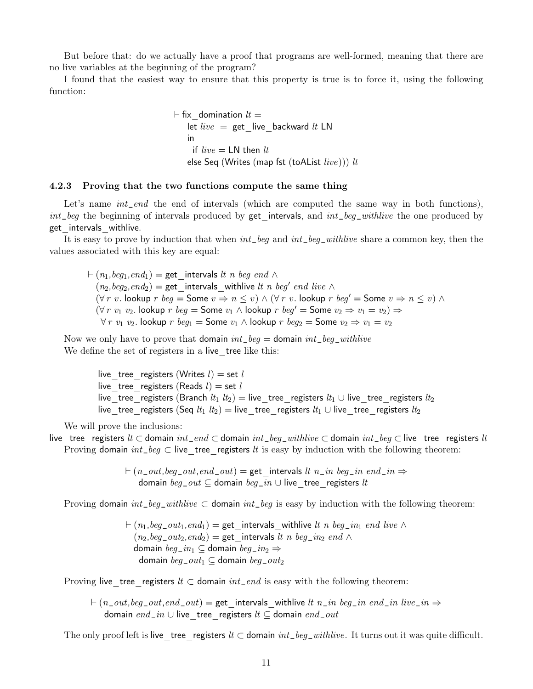But before that: do we actually have a proof that programs are well-formed, meaning that there are no live variables at the beginning of the program?

I found that the easiest way to ensure that this property is true is to force it, using the following function:

> $\vdash$  fix domination  $lt =$ let live = get live backward lt LN in if  $live = LN$  then  $lt$ else Seq (Writes (map fst (toAList  $live$ ))) lt

#### <span id="page-12-0"></span>4.2.3 Proving that the two functions compute the same thing

Let's name *int\_end* the end of intervals (which are computed the same way in both functions),  $int_b$  beg the beginning of intervals produced by get intervals, and  $int_b$  beg\_withlive the one produced by get intervals withlive.

It is easy to prove by induction that when  $int\_beg$  and  $int\_beg\_withlive$  share a common key, then the values associated with this key are equal:

 $\vdash (n_1, \text{beg}_1,\text{end}_1) =$  get intervals lt n beg end  $\land$  $(n_2, beg_2, end_2) = get_$  intervals\_withlive *lt n beg' end live*  $\wedge$  $(\forall r \ v. \text{ lookup } r \ beg = \text{Some } v \Rightarrow n \leq v) \wedge (\forall r \ v. \text{ lookup } r \ beg' = \text{Some } v \Rightarrow n \leq v) \wedge$  $(\forall r \ v_1 \ v_2.$  lookup  $r \ beg = \text{Some } v_1 \wedge \text{lookup } r \ beg' = \text{Some } v_2 \Rightarrow v_1 = v_2) \Rightarrow$  $\forall r \ v_1 \ v_2$ . lookup  $r \ beg_1 =$  Some  $v_1 \wedge$  lookup  $r \ beg_2 =$  Some  $v_2 \Rightarrow v_1 = v_2$ 

Now we only have to prove that domain  $int\_beg =$  domain  $int\_beg\_withlive$ We define the set of registers in a live tree like this:

> live tree registers (Writes  $l$ ) = set l live tree registers (Reads  $l$ ) = set l live tree registers (Branch  $lt_1$   $lt_2$ ) = live tree registers  $lt_1$  ∪ live tree registers  $lt_2$ live tree registers (Seq  $lt_1$   $lt_2$ ) = live tree registers  $lt_1$  ∪ live tree registers  $lt_2$

We will prove the inclusions:

live tree registers lt ⊂ domain int\_end ⊂ domain int\_beg\_withlive ⊂ domain int\_beg ⊂ live tree registers lt Proving domain  $int_{-\infty}$   $\log$   $\subset$  live tree registers lt is easy by induction with the following theorem:

> $\vdash (n\_out,beg\_out,end\_out) =$  get intervals lt  $n\_in$  beg\_in end\_in  $\Rightarrow$ domain  $beg\_out \subseteq$  domain  $beg\_in \cup$  live tree registers lt

Proving domain  $int\_beg\_withlive \subset$  domain  $int\_beg$  is easy by induction with the following theorem:

 $\vdash (n_1, \text{beg\_out}_1, \text{end}_1) =$  get intervals withlive lt n beg\_in<sub>1</sub> end live  $\land$  $(n_2,beg\_out_2,end_2)$  = get intervals lt n beg\_in<sub>2</sub> end ∧ domain  $beg\_in_1 \subseteq$  domain  $beg\_in_2 \Rightarrow$ domain  $beg\_out_1 \subseteq$  domain  $beg\_out_2$ 

Proving live tree registers  $lt \subset$  domain  $int\_end$  is easy with the following theorem:

 $\vdash (n\_out,beg\_out,end\_out) =$  get intervals withlive lt n\_in beg\_in end\_in live\_in  $\Rightarrow$ domain end\_in ∪ live tree registers  $lt \subseteq$  domain end\_out

The only proof left is live tree registers  $lt \subset$  domain  $int\_beg\_withlive$ . It turns out it was quite difficult.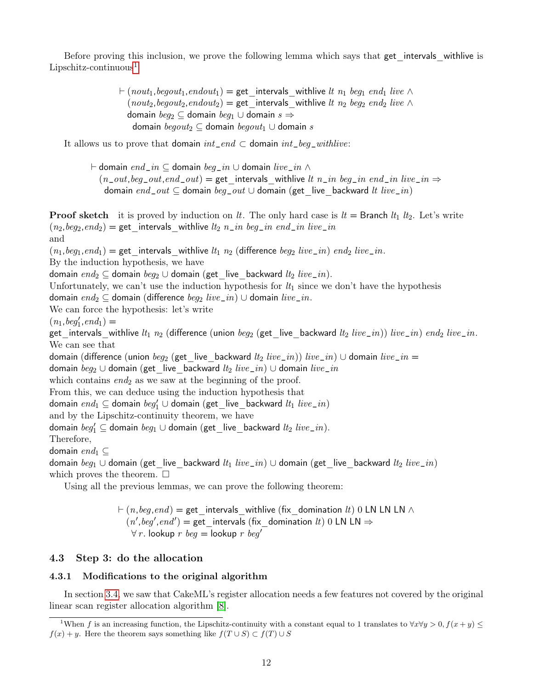Before proving this inclusion, we prove the following lemma which says that get intervals withlive is  $Lipschitz$ -continuous<sup>[1](#page-13-2)</sup>

> $\vdash (nout_1, begout_1, endout_1) = get_intervals_withlive \,lt; h_1 \, beg_1 \,end,{} line \wedge$  $(nout_2, begout_2, endout_2) = get$  intervals withlive lt  $n_2$  beg<sub>2</sub> end<sub>2</sub> live ∧ domain  $beg_2 \subseteq$  domain  $beg_1 \cup$  domain  $s \Rightarrow$ domain  $\text{begin}_2 \subseteq$  domain  $\text{begin}_1 \cup$  domain s

It allows us to prove that domain  $int\_end \subset$  domain  $int\_beg\_withlive$ :

 $\vdash$  domain  $\mathit{end\_in} \subseteq$  domain  $\mathit{beg\_in} \cup$  domain  $\mathit{live\_in} \wedge$  $(n\_out,beg\_out,end\_out) = get$  intervals withlive lt n\_in beg\_in end\_in live\_in  $\Rightarrow$ domain end\_out  $\subseteq$  domain beg\_out  $\cup$  domain (get live backward lt live\_in)

**Proof sketch** it is proved by induction on lt. The only hard case is  $lt = B$  **ranch**  $lt_1 \,lt_2$ . Let's write  $(n_2, beg_2, end_2) = get_$  intervals\_withlive  $lt_2 n_1$  in  $beg_1 n_2$  end\_in live\_in

and

 $(n_1, \text{beg}_1, \text{end}_1) =$  get intervals withlive  $lt_1 n_2$  (difference  $\text{beg}_2$  live\_in) end<sub>2</sub> live\_in.

By the induction hypothesis, we have

domain  $end_2 \subseteq$  domain  $beg_2 \cup$  domain (get live backward  $lt_2$  live\_in).

Unfortunately, we can't use the induction hypothesis for  $lt_1$  since we don't have the hypothesis

domain  $end_2 \subseteq$  domain (difference  $beg_2 \; live\_in$ ) ∪ domain live\_in.

We can force the hypothesis: let's write

 $(n_1, \text{beg}_1', \text{end}_1) =$ 

get\_intervals\_withlive  $lt_1$   $n_2$  (difference (union  $beg_2$  (get\_live\_backward  $lt_2$  live\_in)) live\_in) end<sub>2</sub> live\_in. We can see that

domain (difference (union  $beg_2$  (get live backward  $lt_2$  live\_in)) live\_in) ∪ domain live\_in =

domain  $beg_2 ∪$  domain (get live backward  $lt_2$  live\_in) ∪ domain live\_in

which contains  $end_2$  as we saw at the beginning of the proof.

From this, we can deduce using the induction hypothesis that

domain  $\mathit{end}_1 \subseteq$  domain  $\mathit{beg}_1' \cup$  domain (get\_live\_backward  $\mathit{lt}_1$   $\mathit{live\_in})$ 

and by the Lipschitz-continuity theorem, we have

domain  $\mathit{beg}_1'\subseteq$  domain  $\mathit{beg}_1\cup$  domain  $(\textsf{get\_live\_backward}\,\,\mathit{lt}_2\,\,\mathit{live\_in}).$ 

Therefore,

domain  $end_1 \subset$ 

domain  $beg_1 \cup$  domain (get\_live\_backward  $lt_1$  live\_in)  $\cup$  domain (get\_live\_backward  $lt_2$  live\_in) which proves the theorem.  $\Box$ 

Using all the previous lemmas, we can prove the following theorem:

 $\vdash (n,beg,end) =$  get intervals withlive (fix domination lt) 0 LN LN LN  $\land$  $(n',beg',end')$  = get intervals (fix domination lt) 0 LN LN  $\Rightarrow$  $\forall r$ . lookup r beg = lookup r beg'

#### <span id="page-13-0"></span>4.3 Step 3: do the allocation

#### <span id="page-13-1"></span>4.3.1 Modifications to the original algorithm

In section [3.4,](#page-6-0) we saw that CakeML's register allocation needs a few features not covered by the original linear scan register allocation algorithm [\[8\]](#page-21-8).

<span id="page-13-2"></span><sup>&</sup>lt;sup>1</sup>When f is an increasing function, the Lipschitz-continuity with a constant equal to 1 translates to  $\forall x \forall y > 0, f(x + y) \leq$  $f(x) + y$ . Here the theorem says something like  $f(T \cup S) \subset f(T) \cup S$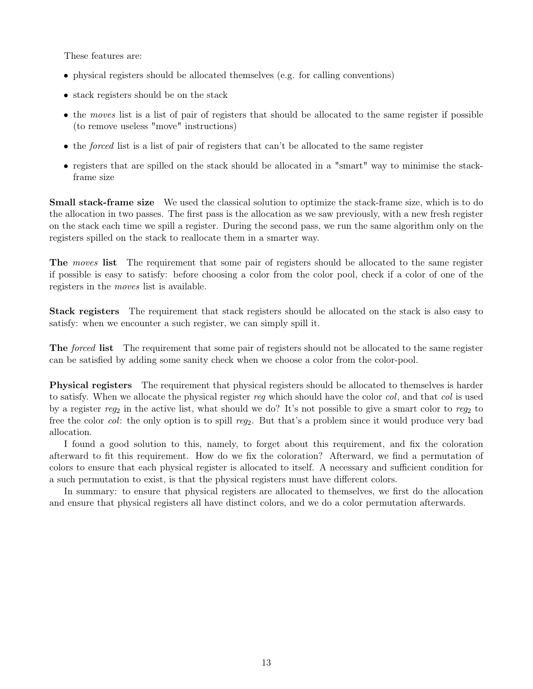These features are:

- physical registers should be allocated themselves (e.g. for calling conventions)
- stack registers should be on the stack
- the moves list is a list of pair of registers that should be allocated to the same register if possible (to remove useless "move" instructions)
- the forced list is a list of pair of registers that can't be allocated to the same register
- registers that are spilled on the stack should be allocated in a "smart" way to minimise the stackframe size

Small stack-frame size We used the classical solution to optimize the stack-frame size, which is to do the allocation in two passes. The first pass is the allocation as we saw previously, with a new fresh register on the stack each time we spill a register. During the second pass, we run the same algorithm only on the registers spilled on the stack to reallocate them in a smarter way.

The moves list The requirement that some pair of registers should be allocated to the same register if possible is easy to satisfy: before choosing a color from the color pool, check if a color of one of the registers in the moves list is available.

Stack registers The requirement that stack registers should be allocated on the stack is also easy to satisfy: when we encounter a such register, we can simply spill it.

The *forced* list The requirement that some pair of registers should not be allocated to the same register can be satisfied by adding some sanity check when we choose a color from the color-pool.

Physical registers The requirement that physical registers should be allocated to themselves is harder to satisfy. When we allocate the physical register reg which should have the color col, and that col is used by a register reg<sub>2</sub> in the active list, what should we do? It's not possible to give a smart color to reg<sub>2</sub> to free the color col: the only option is to spill reg<sub>2</sub>. But that's a problem since it would produce very bad allocation.

I found a good solution to this, namely, to forget about this requirement, and fix the coloration afterward to fit this requirement. How do we fix the coloration? Afterward, we find a permutation of colors to ensure that each physical register is allocated to itself. A necessary and sufficient condition for a such permutation to exist, is that the physical registers must have different colors.

In summary: to ensure that physical registers are allocated to themselves, we first do the allocation and ensure that physical registers all have distinct colors, and we do a color permutation afterwards.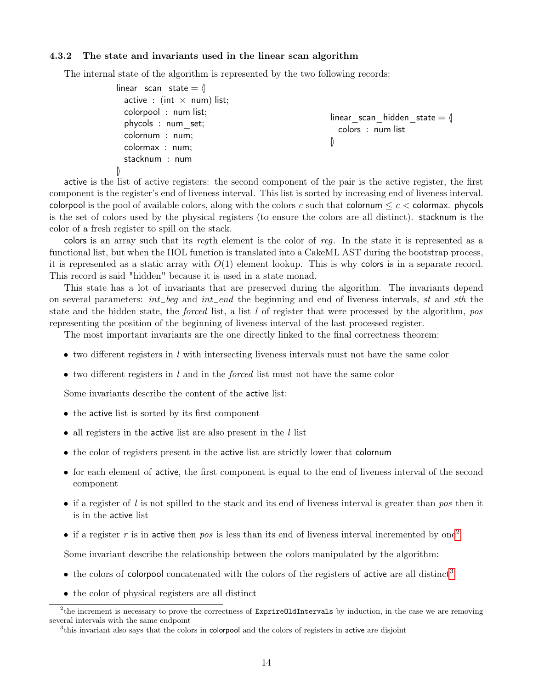#### <span id="page-15-0"></span>4.3.2 The state and invariants used in the linear scan algorithm

The internal state of the algorithm is represented by the two following records:

```
linear scan state = \langleactive : (int \times num) list;
  colorpool : num list;
  phycols : num_set;
  colornum : num;
  colormax : num;
  stacknum : num
\mathsf{I}linear scan hidden state = \langle \ranglecolors : num list
                                                               \mathbb{D}
```
active is the list of active registers: the second component of the pair is the active register, the first component is the register's end of liveness interval. This list is sorted by increasing end of liveness interval. colorpool is the pool of available colors, along with the colors c such that colornum  $\leq c <$  colormax. phycols is the set of colors used by the physical registers (to ensure the colors are all distinct). stacknum is the color of a fresh register to spill on the stack.

colors is an array such that its regth element is the color of reg. In the state it is represented as a functional list, but when the HOL function is translated into a CakeML AST during the bootstrap process, it is represented as a static array with  $O(1)$  element lookup. This is why colors is in a separate record. This record is said "hidden" because it is used in a state monad.

This state has a lot of invariants that are preserved during the algorithm. The invariants depend on several parameters: int\_beg and int\_end the beginning and end of liveness intervals, st and sth the state and the hidden state, the *forced* list, a list l of register that were processed by the algorithm, pos representing the position of the beginning of liveness interval of the last processed register.

The most important invariants are the one directly linked to the final correctness theorem:

- two different registers in  $l$  with intersecting liveness intervals must not have the same color
- two different registers in  $l$  and in the *forced* list must not have the same color

Some invariants describe the content of the active list:

- the active list is sorted by its first component
- all registers in the active list are also present in the  $l$  list
- the color of registers present in the active list are strictly lower that colornum
- for each element of active, the first component is equal to the end of liveness interval of the second component
- if a register of l is not spilled to the stack and its end of liveness interval is greater than pos then it is in the active list
- if a register r is in active then pos is less than its end of liveness interval incremented by one<sup>[2](#page-15-1)</sup>

Some invariant describe the relationship between the colors manipulated by the algorithm:

- the colors of colorpool concatenated with the colors of the registers of active are all distinct<sup>[3](#page-15-2)</sup>
- the color of physical registers are all distinct

<span id="page-15-1"></span> $2$ <sup>2</sup>the increment is necessary to prove the correctness of **ExprireOldIntervals** by induction, in the case we are removing several intervals with the same endpoint

<span id="page-15-2"></span><sup>&</sup>lt;sup>3</sup>this invariant also says that the colors in colorpool and the colors of registers in active are disjoint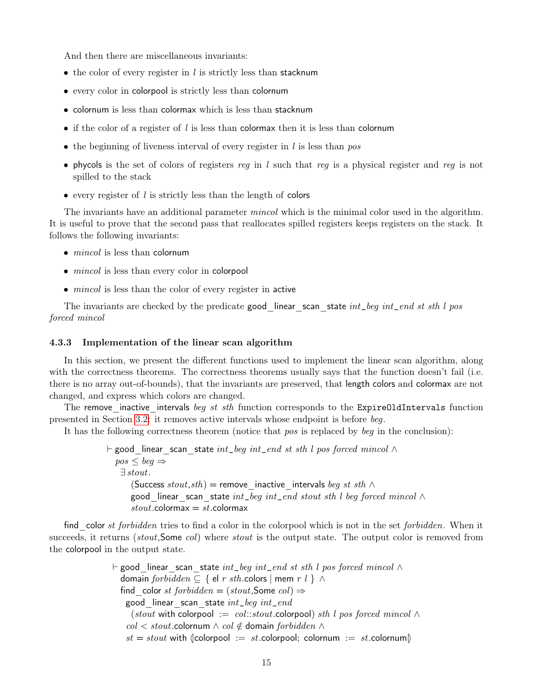And then there are miscellaneous invariants:

- the color of every register in  $l$  is strictly less than stacknum
- every color in colorpool is strictly less than colornum
- colornum is less than colormax which is less than stacknum
- if the color of a register of  $l$  is less than colormax then it is less than colornum
- the beginning of liveness interval of every register in  $l$  is less than pos
- phycols is the set of colors of registers reg in l such that reg is a physical register and reg is not spilled to the stack
- every register of  $l$  is strictly less than the length of colors

The invariants have an additional parameter *mincol* which is the minimal color used in the algorithm. It is useful to prove that the second pass that reallocates spilled registers keeps registers on the stack. It follows the following invariants:

- $\bullet$  *mincol* is less than colornum
- *mincol* is less than every color in colorpool
- *mincol* is less than the color of every register in active

The invariants are checked by the predicate good linear scan state  $int\_beg$  int $\_end$  st sth l pos forced mincol

#### <span id="page-16-0"></span>4.3.3 Implementation of the linear scan algorithm

In this section, we present the different functions used to implement the linear scan algorithm, along with the correctness theorems. The correctness theorems usually says that the function doesn't fail (i.e. there is no array out-of-bounds), that the invariants are preserved, that length colors and colormax are not changed, and express which colors are changed.

The remove inactive intervals beg st sth function corresponds to the ExpireOldIntervals function presented in Section [3.2:](#page-4-0) it removes active intervals whose endpoint is before beg.

It has the following correctness theorem (notice that pos is replaced by beg in the conclusion):

 $\vdash$  good linear scan state int\_beg int\_end st sth l pos forced mincol ∧  $pos < beq \Rightarrow$ ∃ stout. (Success stout,sth) = remove inactive intervals beg st sth  $\wedge$ good linear scan state  $int\_beg$   $int\_end$  stout sth l beg forced mincol  $\wedge$  $stout$ .colormax =  $st$ .colormax

find color st forbidden tries to find a color in the colorpool which is not in the set forbidden. When it succeeds, it returns *(stout,*Some *col)* where *stout* is the output state. The output color is removed from the colorpool in the output state.

> $\vdash$  good linear scan state int\_beg int\_end st sth l pos forced mincol ∧ domain forbidden  $\subseteq$  { el r sth.colors | mem r l }  $\land$ find color st forbidden =  $(stout,$ Some col)  $\Rightarrow$ good linear scan state  $int\_beg$   $int\_end$ (stout with colorpool := col::stout.colorpool) sth l pos forced mincol  $\wedge$  $col < stout$ .colornum  $\land col \notin$  domain forbidden  $\land$  $st = stout$  with  $\langle \text{colorpool} := st.\text{colorpool}; \text{colornum} := st.\text{colornum} \rangle$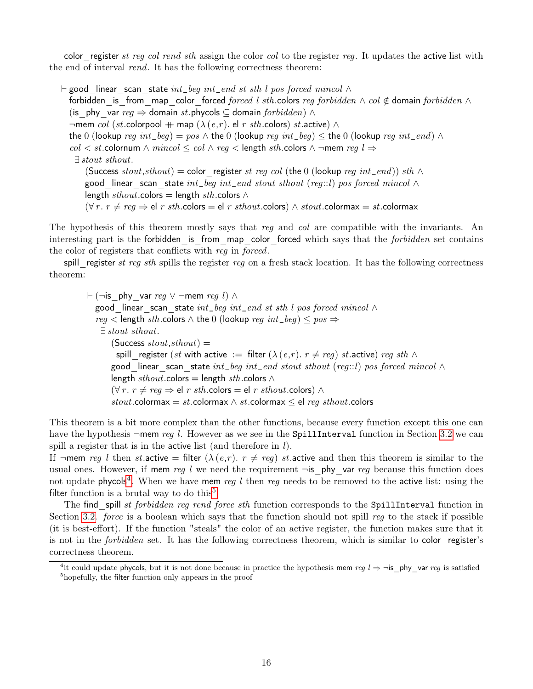color register st reg col rend sth assign the color col to the register reg. It updates the active list with the end of interval rend. It has the following correctness theorem:

 $\vdash$  good linear scan state int\_beg int\_end st sth l pos forced mincol  $\land$ forbidden is from map color forced forced l sth.colors reg forbidden  $\land$  col  $\notin$  domain forbidden  $\land$ (is phy var  $req \Rightarrow$  domain st.phycols ⊂ domain forbidden)  $\wedge$  $\neg$ mem col (st.colorpool  $+$  map ( $\lambda(e,r)$ . el r sth.colors) st.active) ∧ the 0 (lookup reg int\_beg) = pos  $\wedge$  the 0 (lookup reg int\_beg)  $\leq$  the 0 (lookup reg int\_end)  $\wedge$  $col < st$ .colornum  $\land$  mincol  $\le$  col  $\land$  reg  $\lt$  length sth.colors  $\land$  ¬mem reg l  $\Rightarrow$ ∃ stout sthout. (Success stout,sthout) = color register st reg col (the 0 (lookup reg int\_end)) sth  $\wedge$ good linear scan state int\_beg int\_end stout sthout (reg::l) pos forced mincol  $\wedge$ length sthout.colors = length sth.colors  $\wedge$  $(\forall r. r \neq \text{req} \Rightarrow \text{el } r \text{ sth. colors } = \text{el } r \text{ sthout. colors}) \land stout. \text{colormax} = st. \text{colormax}$ 

The hypothesis of this theorem mostly says that reg and col are compatible with the invariants. An interesting part is the forbidden\_is\_from\_map\_color\_forced which says that the forbidden set contains the color of registers that conflicts with reg in forced.

spill register st reg sth spills the register reg on a fresh stack location. It has the following correctness theorem:

 $\vdash$  (¬is phy var reg  $\lor$  ¬mem reg l)  $\land$ good linear scan state  $int\_beg$   $int\_end$  st sth l pos forced mincol  $\wedge$  $reg <$  length sth.colors  $\wedge$  the 0 (lookup reg int\_beg)  $\leq pos \Rightarrow$ ∃ stout sthout.  $(Success *stout*, *sthout*) =$ spill register (st with active := filter ( $\lambda (e,r)$ .  $r \neq reg$ ) st.active) reg sth  $\wedge$ good linear scan state int\_beg int\_end stout sthout (reg::l) pos forced mincol  $\wedge$ length sthout.colors = length sth.colors  $\wedge$  $(\forall r. r \neq \text{reg} \Rightarrow \text{el } r \text{ sth. colors } = \text{el } r \text{ sthout. colors}) \land$ stout.colormax = st.colormax  $\wedge$  st.colormax  $\leq$  el reg sthout.colors

This theorem is a bit more complex than the other functions, because every function except this one can have the hypothesis  $\neg$ mem reg l. However as we see in the SpillInterval function in Section [3.2](#page-4-0) we can spill a register that is in the active list (and therefore in  $l$ ).

If  $\neg$ mem reg l then st.active = filter  $(\lambda(e,r), r \neq reg)$  st.active and then this theorem is similar to the usual ones. However, if mem reg l we need the requirement  $\neg$ is phy var reg because this function does not update phycols<sup>[4](#page-17-0)</sup>. When we have mem reg l then reg needs to be removed to the active list: using the filter function is a brutal way to do this<sup>[5](#page-17-1)</sup>.

The find spill st forbidden reg rend force sth function corresponds to the SpillInterval function in Section [3.2.](#page-4-0) force is a boolean which says that the function should not spill reg to the stack if possible (it is best-effort). If the function "steals" the color of an active register, the function makes sure that it is not in the *forbidden* set. It has the following correctness theorem, which is similar to color register's correctness theorem.

<span id="page-17-1"></span><span id="page-17-0"></span><sup>&</sup>lt;sup>4</sup>it could update phycols, but it is not done because in practice the hypothesis mem reg  $l \Rightarrow \neg$ is phy var reg is satisfied <sup>5</sup>hopefully, the filter function only appears in the proof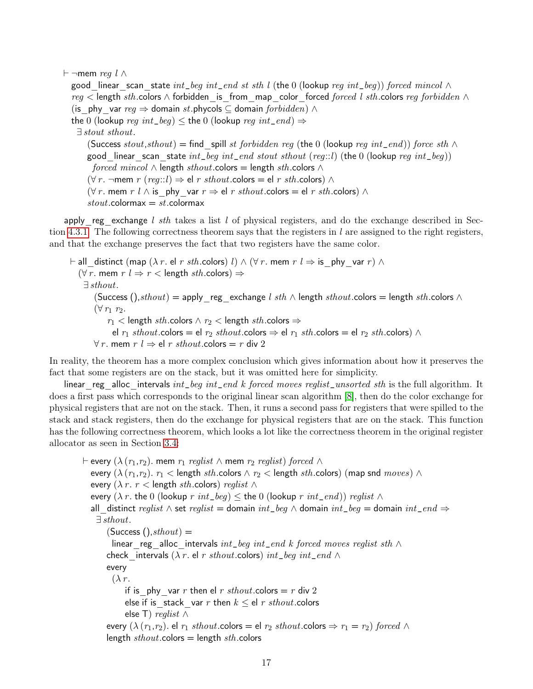$\vdash$  ¬mem reg l ∧

good linear scan state  $int\_beg$  int\_end st sth l (the 0 (lookup reg int\_beg)) forced mincol  $\wedge$ reg < length sth.colors ∧ forbidden is from map color forced forced l sth.colors reg forbidden  $\wedge$ (is phy var  $req \Rightarrow$  domain st.phycols ⊆ domain forbidden)  $\wedge$ the 0 (lookup reg int\_beg)  $\leq$  the 0 (lookup reg int\_end)  $\Rightarrow$ ∃ stout sthout. (Success stout,sthout) = find spill st forbidden reg (the 0 (lookup reg int\_end)) force sth  $\wedge$ good linear scan state  $int\_beg$   $int\_end$  stout sthout (reg::l) (the 0 (lookup reg  $int\_beg$ )) forced mincol  $\land$  length sthout.colors = length sth.colors  $\land$  $(\forall r. \neg \text{mem } r \ (reg::l) \Rightarrow \text{el } r \ sthout.\text{colors} = \text{el } r \ sth.\text{colors}) \land$  $(\forall r.$  mem  $r \in \mathbb{R}$  is phy var  $r \Rightarrow$  el r sthout.colors = el r sth.colors)  $\land$  $stout$ .colormax =  $st$ .colormax

apply reg\_exchange l sth takes a list l of physical registers, and do the exchange described in Sec-tion [4.3.1.](#page-13-1) The following correctness theorem says that the registers in l are assigned to the right registers, and that the exchange preserves the fact that two registers have the same color.

 $\vdash$  all\_distinct (map ( $\lambda$  r. el r sth.colors) l) ∧ ( $\forall$  r. mem r l  $\Rightarrow$  is \_phy\_var r) ∧  $(\forall r.$  mem  $r \in \mathbb{R}$   $\Rightarrow$   $r <$  length sth.colors)  $\Rightarrow$ ∃ sthout. (Success (),sthout) = apply reg\_exchange l sth  $\land$  length sthout.colors = length sth.colors  $\land$  $(\forall r_1 \; r_2)$ .  $r_1$  < length sth.colors  $\land r_2$  < length sth.colors  $\Rightarrow$ el  $r_1$  sthout.colors = el  $r_2$  sthout.colors  $\Rightarrow$  el  $r_1$  sth.colors = el  $r_2$  sth.colors)  $\land$  $∀r.$  mem  $r \neq 0$  r sthout.colors = r div 2

In reality, the theorem has a more complex conclusion which gives information about how it preserves the fact that some registers are on the stack, but it was omitted here for simplicity.

linear reg\_alloc\_intervals int\_beg int\_end k forced moves reglist\_unsorted sth is the full algorithm. It does a first pass which corresponds to the original linear scan algorithm [\[8\]](#page-21-8), then do the color exchange for physical registers that are not on the stack. Then, it runs a second pass for registers that were spilled to the stack and stack registers, then do the exchange for physical registers that are on the stack. This function has the following correctness theorem, which looks a lot like the correctness theorem in the original register allocator as seen in Section [3.4:](#page-6-0)

 $\vdash$  every  $(\lambda (r_1,r_2)$ . mem  $r_1$  reglist  $\wedge$  mem  $r_2$  reglist) forced  $\wedge$ every  $(\lambda (r_1,r_2). r_1 <$  length sth.colors  $\wedge r_2 <$  length sth.colors) (map snd moves)  $\wedge$ every ( $\lambda r$ .  $r$  < length sth.colors) reglist  $\wedge$ every ( $\lambda r$ . the 0 (lookup  $r$   $int\_beg$ )  $\leq$  the 0 (lookup  $r$   $int\_end$ )) reglist  $\wedge$ all distinct reglist ∧ set reglist = domain int\_beg ∧ domain int\_beg = domain int\_end  $\Rightarrow$ ∃ sthout.  $(Success ()$ ,  $sthout)$  = linear reg\_alloc\_intervals  $int\_beg$  int\_end k forced moves reglist sth  $∧$ check intervals ( $\lambda$  r. el r sthout.colors) int\_beg int\_end  $\wedge$ every  $(\lambda r)$ . if is phy var r then el r sthout.colors = r div 2 else if is\_stack\_var r then  $k \leq$  el r sthout.colors else T) *reglist*  $\wedge$ every  $(\lambda(r_1,r_2)$ . el  $r_1$  sthout.colors = el  $r_2$  sthout.colors  $\Rightarrow r_1 = r_2$ ) forced  $\wedge$ length  $\textit{sthout}$ .colors = length  $\textit{sth}$ .colors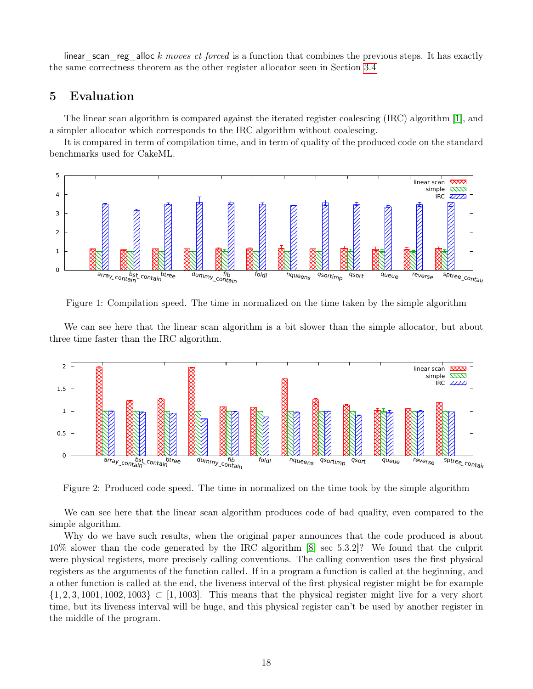linear scan reg alloc k moves ct forced is a function that combines the previous steps. It has exactly the same correctness theorem as the other register allocator seen in Section [3.4](#page-6-0)

### <span id="page-19-0"></span>5 Evaluation

The linear scan algorithm is compared against the iterated register coalescing (IRC) algorithm [\[1\]](#page-21-7), and a simpler allocator which corresponds to the IRC algorithm without coalescing.

It is compared in term of compilation time, and in term of quality of the produced code on the standard benchmarks used for CakeML.



Figure 1: Compilation speed. The time in normalized on the time taken by the simple algorithm

We can see here that the linear scan algorithm is a bit slower than the simple allocator, but about three time faster than the IRC algorithm.



Figure 2: Produced code speed. The time in normalized on the time took by the simple algorithm

We can see here that the linear scan algorithm produces code of bad quality, even compared to the simple algorithm.

Why do we have such results, when the original paper announces that the code produced is about 10% slower than the code generated by the IRC algorithm [\[8,](#page-21-8) sec 5.3.2]? We found that the culprit were physical registers, more precisely calling conventions. The calling convention uses the first physical registers as the arguments of the function called. If in a program a function is called at the beginning, and a other function is called at the end, the liveness interval of the first physical register might be for example  $\{1, 2, 3, 1001, 1002, 1003\} \subset [1, 1003]$ . This means that the physical register might live for a very short time, but its liveness interval will be huge, and this physical register can't be used by another register in the middle of the program.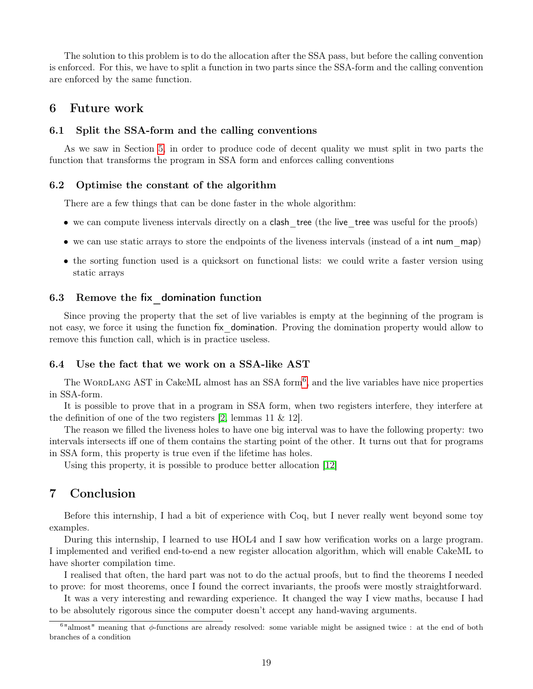The solution to this problem is to do the allocation after the SSA pass, but before the calling convention is enforced. For this, we have to split a function in two parts since the SSA-form and the calling convention are enforced by the same function.

### <span id="page-20-0"></span>6 Future work

#### <span id="page-20-1"></span>6.1 Split the SSA-form and the calling conventions

As we saw in Section [5,](#page-19-0) in order to produce code of decent quality we must split in two parts the function that transforms the program in SSA form and enforces calling conventions

#### <span id="page-20-2"></span>6.2 Optimise the constant of the algorithm

There are a few things that can be done faster in the whole algorithm:

- we can compute liveness intervals directly on a **clash** tree (the live tree was useful for the proofs)
- we can use static arrays to store the endpoints of the liveness intervals (instead of a int num map)
- the sorting function used is a quicksort on functional lists: we could write a faster version using static arrays

#### <span id="page-20-3"></span>6.3 Remove the fix\_domination function

Since proving the property that the set of live variables is empty at the beginning of the program is not easy, we force it using the function fix\_domination. Proving the domination property would allow to remove this function call, which is in practice useless.

### <span id="page-20-4"></span>6.4 Use the fact that we work on a SSA-like AST

The WORDLANG AST in CakeML almost has an SSA form<sup>[6](#page-20-6)</sup>, and the live variables have nice properties in SSA-form.

It is possible to prove that in a program in SSA form, when two registers interfere, they interfere at the definition of one of the two registers [\[2,](#page-21-10) lemmas 11 & 12].

The reason we filled the liveness holes to have one big interval was to have the following property: two intervals intersects iff one of them contains the starting point of the other. It turns out that for programs in SSA form, this property is true even if the lifetime has holes.

Using this property, it is possible to produce better allocation [\[12\]](#page-21-11)

### <span id="page-20-5"></span>7 Conclusion

Before this internship, I had a bit of experience with Coq, but I never really went beyond some toy examples.

During this internship, I learned to use HOL4 and I saw how verification works on a large program. I implemented and verified end-to-end a new register allocation algorithm, which will enable CakeML to have shorter compilation time.

I realised that often, the hard part was not to do the actual proofs, but to find the theorems I needed to prove: for most theorems, once I found the correct invariants, the proofs were mostly straightforward.

It was a very interesting and rewarding experience. It changed the way I view maths, because I had to be absolutely rigorous since the computer doesn't accept any hand-waving arguments.

<span id="page-20-6"></span> $6"$ almost" meaning that  $\phi$ -functions are already resolved: some variable might be assigned twice : at the end of both branches of a condition